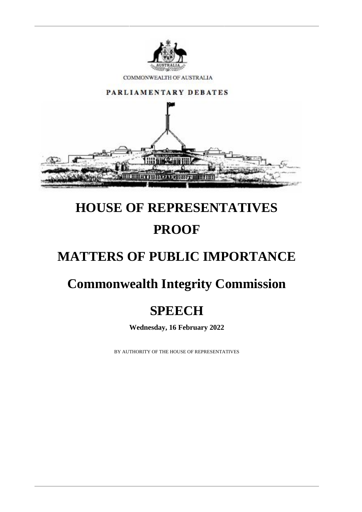

COMMONWEALTH OF AUSTRALIA



# **HOUSE OF REPRESENTATIVES PROOF**

### **MATTERS OF PUBLIC IMPORTANCE**

### **Commonwealth Integrity Commission**

## **SPEECH**

**Wednesday, 16 February 2022**

BY AUTHORITY OF THE HOUSE OF REPRESENTATIVES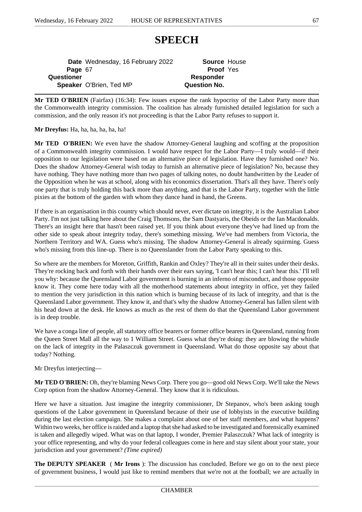#### **SPEECH**

**Date** Wednesday, 16 February 2022 **Source** House **Page** 67 **Proof** Yes **Questioner Responder Speaker** O'Brien, Ted MP **Question No.** 

**Mr TED O'BRIEN** (Fairfax) (16:34): Few issues expose the rank hypocrisy of the Labor Party more than the Commonwealth integrity commission. The coalition has already furnished detailed legislation for such a commission, and the only reason it's not proceeding is that the Labor Party refuses to support it.

**Mr Dreyfus:** Ha, ha, ha, ha, ha, ha!

**Mr TED O'BRIEN:** We even have the shadow Attorney-General laughing and scoffing at the proposition of a Commonwealth integrity commission. I would have respect for the Labor Party—I truly would—if their opposition to our legislation were based on an alternative piece of legislation. Have they furnished one? No. Does the shadow Attorney-General wish today to furnish an alternative piece of legislation? No, because they have nothing. They have nothing more than two pages of talking notes, no doubt handwritten by the Leader of the Opposition when he was at school, along with his economics dissertation. That's all they have. There's only one party that is truly holding this back more than anything, and that is the Labor Party, together with the little pixies at the bottom of the garden with whom they dance hand in hand, the Greens.

If there is an organisation in this country which should never, ever dictate on integrity, it is the Australian Labor Party. I'm not just talking here about the Craig Thomsons, the Sam Dastyaris, the Obeids or the Ian Macdonalds. There's an insight here that hasn't been raised yet. If you think about everyone they've had lined up from the other side to speak about integrity today, there's something missing. We've had members from Victoria, the Northern Territory and WA. Guess who's missing. The shadow Attorney-General is already squirming. Guess who's missing from this line-up. There is no Queenslander from the Labor Party speaking to this.

So where are the members for Moreton, Griffith, Rankin and Oxley? They're all in their suites under their desks. They're rocking back and forth with their hands over their ears saying, 'I can't hear this; I can't hear this.' I'll tell you why: because the Queensland Labor government is burning in an inferno of misconduct, and those opposite know it. They come here today with all the motherhood statements about integrity in office, yet they failed to mention the very jurisdiction in this nation which is burning because of its lack of integrity, and that is the Queensland Labor government. They know it, and that's why the shadow Attorney-General has fallen silent with his head down at the desk. He knows as much as the rest of them do that the Queensland Labor government is in deep trouble.

We have a conga line of people, all statutory office bearers or former office bearers in Queensland, running from the Queen Street Mall all the way to 1 William Street. Guess what they're doing: they are blowing the whistle on the lack of integrity in the Palaszczuk government in Queensland. What do those opposite say about that today? Nothing.

Mr Dreyfus interjecting—

**Mr TED O'BRIEN:** Oh, they're blaming News Corp. There you go—good old News Corp. We'll take the News Corp option from the shadow Attorney-General. They know that it is ridiculous.

Here we have a situation. Just imagine the integrity commissioner, Dr Stepanov, who's been asking tough questions of the Labor government in Queensland because of their use of lobbyists in the executive building during the last election campaign. She makes a complaint about one of her staff members, and what happens? Within two weeks, her office is raided and a laptop that she had asked to be investigated and forensically examined is taken and allegedly wiped. What was on that laptop, I wonder, Premier Palaszczuk? What lack of integrity is your office representing, and why do your federal colleagues come in here and stay silent about your state, your jurisdiction and your government? *(Time expired)*

**The DEPUTY SPEAKER** ( **Mr Irons** ): The discussion has concluded. Before we go on to the next piece of government business, I would just like to remind members that we're not at the football; we are actually in